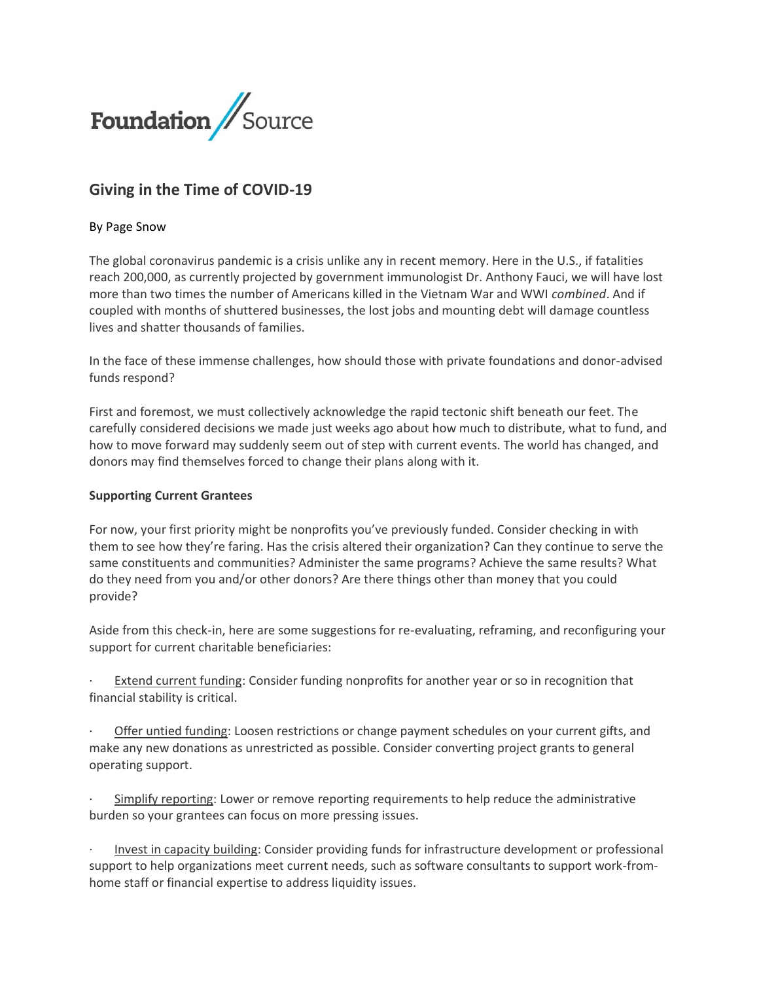

# **Giving in the Time of COVID-19**

# By Page Snow

The global coronavirus pandemic is a crisis unlike any in recent memory. Here in the U.S., if fatalities reach 200,000, as currently projected by government immunologist Dr. Anthony Fauci, we will have lost more than two times the number of Americans killed in the Vietnam War and WWI *combined*. And if coupled with months of shuttered businesses, the lost jobs and mounting debt will damage countless lives and shatter thousands of families.

In the face of these immense challenges, how should those with private foundations and donor-advised funds respond?

First and foremost, we must collectively acknowledge the rapid tectonic shift beneath our feet. The carefully considered decisions we made just weeks ago about how much to distribute, what to fund, and how to move forward may suddenly seem out of step with current events. The world has changed, and donors may find themselves forced to change their plans along with it.

## **Supporting Current Grantees**

For now, your first priority might be nonprofits you've previously funded. Consider checking in with them to see how they're faring. Has the crisis altered their organization? Can they continue to serve the same constituents and communities? Administer the same programs? Achieve the same results? What do they need from you and/or other donors? Are there things other than money that you could provide?

Aside from this check-in, here are some suggestions for re-evaluating, reframing, and reconfiguring your support for current charitable beneficiaries:

Extend current funding: Consider funding nonprofits for another year or so in recognition that financial stability is critical.

· Offer untied funding: Loosen restrictions or change payment schedules on your current gifts, and make any new donations as unrestricted as possible. Consider converting project grants to general operating support.

Simplify reporting: Lower or remove reporting requirements to help reduce the administrative burden so your grantees can focus on more pressing issues.

· Invest in capacity building: Consider providing funds for infrastructure development or professional support to help organizations meet current needs, such as software consultants to support work-fromhome staff or financial expertise to address liquidity issues.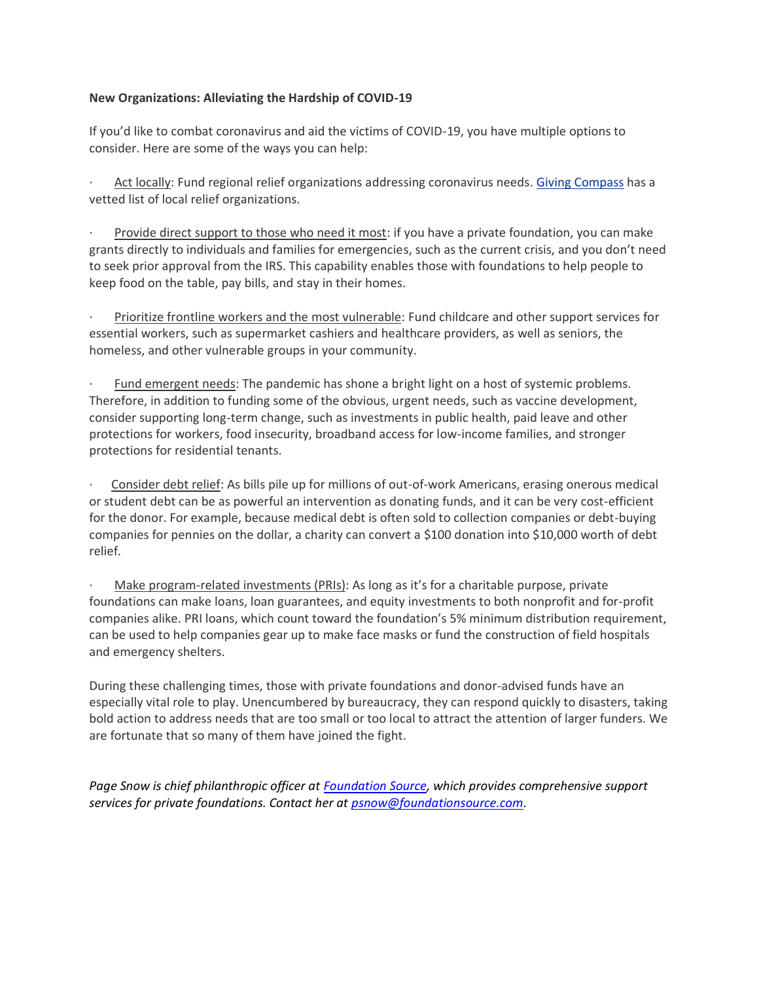# **New Organizations: Alleviating the Hardship of COVID-19**

If you'd like to combat coronavirus and aid the victims of COVID-19, you have multiple options to consider. Here are some of the ways you can help:

Act locally: Fund regional relief organizations addressing coronavirus needs. [Giving Compass](https://givingcompass.org/coronavirus-covid19) has a vetted list of local relief organizations.

· Provide direct support to those who need it most: if you have a private foundation, you can make grants directly to individuals and families for emergencies, such as the current crisis, and you don't need to seek prior approval from the IRS. This capability enables those with foundations to help people to keep food on the table, pay bills, and stay in their homes.

· Prioritize frontline workers and the most vulnerable: Fund childcare and other support services for essential workers, such as supermarket cashiers and healthcare providers, as well as seniors, the homeless, and other vulnerable groups in your community.

Fund emergent needs: The pandemic has shone a bright light on a host of systemic problems. Therefore, in addition to funding some of the obvious, urgent needs, such as vaccine development, consider supporting long-term change, such as investments in public health, paid leave and other protections for workers, food insecurity, broadband access for low-income families, and stronger protections for residential tenants.

· Consider debt relief: As bills pile up for millions of out-of-work Americans, erasing onerous medical or student debt can be as powerful an intervention as donating funds, and it can be very cost-efficient for the donor. For example, because medical debt is often sold to collection companies or debt-buying companies for pennies on the dollar, a charity can convert a \$100 donation into \$10,000 worth of debt relief.

Make program-related investments (PRIs): As long as it's for a charitable purpose, private foundations can make loans, loan guarantees, and equity investments to both nonprofit and for-profit companies alike. PRI loans, which count toward the foundation's 5% minimum distribution requirement, can be used to help companies gear up to make face masks or fund the construction of field hospitals and emergency shelters.

During these challenging times, those with private foundations and donor-advised funds have an especially vital role to play. Unencumbered by bureaucracy, they can respond quickly to disasters, taking bold action to address needs that are too small or too local to attract the attention of larger funders. We are fortunate that so many of them have joined the fight.

*Page Snow is chief philanthropic officer at [Foundation Source,](http://www.foundationsource.com/) which provides comprehensive support services for private foundations. Contact her at [psnow@foundationsource.com.](mailto:psnow@foundationsource.com)*